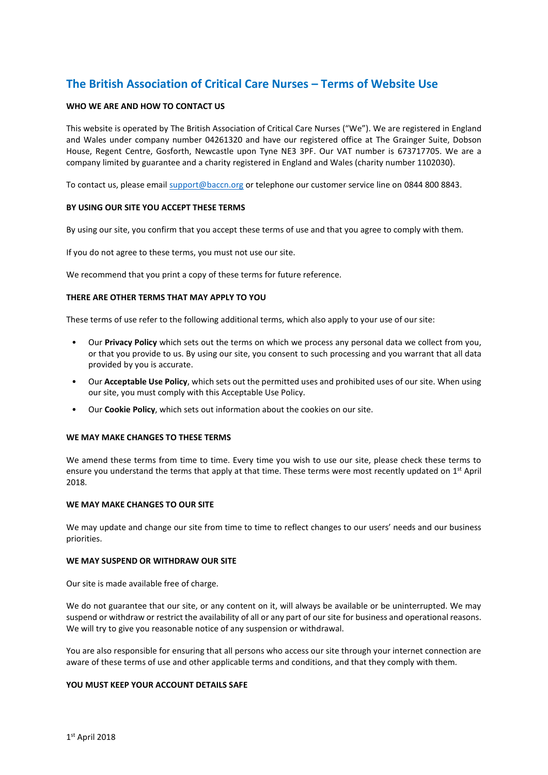# **The British Association of Critical Care Nurses – Terms of Website Use**

# **WHO WE ARE AND HOW TO CONTACT US**

This website is operated by The British Association of Critical Care Nurses ("We"). We are registered in England and Wales under company number 04261320 and have our registered office at The Grainger Suite, Dobson House, Regent Centre, Gosforth, Newcastle upon Tyne NE3 3PF. Our VAT number is 673717705. We are a company limited by guarantee and a charity registered in England and Wales (charity number 1102030).

To contact us, please email [support@baccn.org](mailto:support@baccn.org) or telephone our customer service line on 0844 800 8843.

# **BY USING OUR SITE YOU ACCEPT THESE TERMS**

By using our site, you confirm that you accept these terms of use and that you agree to comply with them.

If you do not agree to these terms, you must not use our site.

We recommend that you print a copy of these terms for future reference.

## **THERE ARE OTHER TERMS THAT MAY APPLY TO YOU**

These terms of use refer to the following additional terms, which also apply to your use of our site:

- Our **Privacy Policy** which sets out the terms on which we process any personal data we collect from you, or that you provide to us. By using our site, you consent to such processing and you warrant that all data provided by you is accurate.
- Our **Acceptable Use Policy**, which sets out the permitted uses and prohibited uses of our site. When using our site, you must comply with this Acceptable Use Policy.
- Our **Cookie Policy**, which sets out information about the cookies on our site.

#### **WE MAY MAKE CHANGES TO THESE TERMS**

We amend these terms from time to time. Every time you wish to use our site, please check these terms to ensure you understand the terms that apply at that time. These terms were most recently updated on 1<sup>st</sup> April 2018.

### **WE MAY MAKE CHANGES TO OUR SITE**

We may update and change our site from time to time to reflect changes to our users' needs and our business priorities.

## **WE MAY SUSPEND OR WITHDRAW OUR SITE**

Our site is made available free of charge.

We do not guarantee that our site, or any content on it, will always be available or be uninterrupted. We may suspend or withdraw or restrict the availability of all or any part of our site for business and operational reasons. We will try to give you reasonable notice of any suspension or withdrawal.

You are also responsible for ensuring that all persons who access our site through your internet connection are aware of these terms of use and other applicable terms and conditions, and that they comply with them.

# **YOU MUST KEEP YOUR ACCOUNT DETAILS SAFE**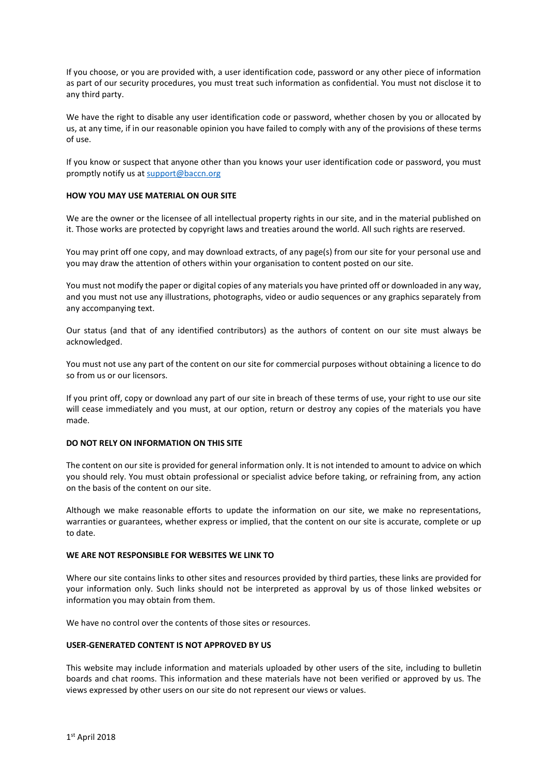If you choose, or you are provided with, a user identification code, password or any other piece of information as part of our security procedures, you must treat such information as confidential. You must not disclose it to any third party.

We have the right to disable any user identification code or password, whether chosen by you or allocated by us, at any time, if in our reasonable opinion you have failed to comply with any of the provisions of these terms of use.

If you know or suspect that anyone other than you knows your user identification code or password, you must promptly notify us a[t support@baccn.org](mailto:support@baccn.org)

# **HOW YOU MAY USE MATERIAL ON OUR SITE**

We are the owner or the licensee of all intellectual property rights in our site, and in the material published on it. Those works are protected by copyright laws and treaties around the world. All such rights are reserved.

You may print off one copy, and may download extracts, of any page(s) from our site for your personal use and you may draw the attention of others within your organisation to content posted on our site.

You must not modify the paper or digital copies of any materials you have printed off or downloaded in any way, and you must not use any illustrations, photographs, video or audio sequences or any graphics separately from any accompanying text.

Our status (and that of any identified contributors) as the authors of content on our site must always be acknowledged.

You must not use any part of the content on our site for commercial purposes without obtaining a licence to do so from us or our licensors.

If you print off, copy or download any part of our site in breach of these terms of use, your right to use our site will cease immediately and you must, at our option, return or destroy any copies of the materials you have made.

## **DO NOT RELY ON INFORMATION ON THIS SITE**

The content on our site is provided for general information only. It is not intended to amount to advice on which you should rely. You must obtain professional or specialist advice before taking, or refraining from, any action on the basis of the content on our site.

Although we make reasonable efforts to update the information on our site, we make no representations, warranties or guarantees, whether express or implied, that the content on our site is accurate, complete or up to date.

#### **WE ARE NOT RESPONSIBLE FOR WEBSITES WE LINK TO**

Where our site contains links to other sites and resources provided by third parties, these links are provided for your information only. Such links should not be interpreted as approval by us of those linked websites or information you may obtain from them.

We have no control over the contents of those sites or resources.

#### **USER-GENERATED CONTENT IS NOT APPROVED BY US**

This website may include information and materials uploaded by other users of the site, including to bulletin boards and chat rooms. This information and these materials have not been verified or approved by us. The views expressed by other users on our site do not represent our views or values.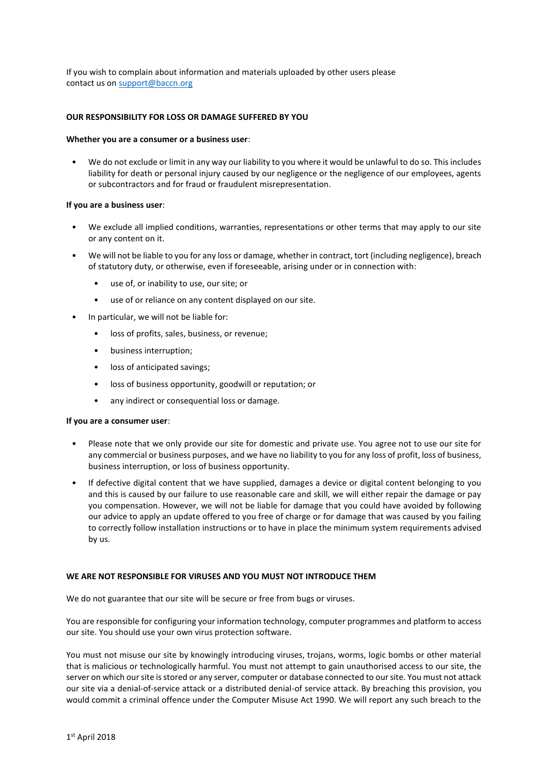If you wish to complain about information and materials uploaded by other users please contact us on [support@baccn.org](mailto:support@baccn.org)

# **OUR RESPONSIBILITY FOR LOSS OR DAMAGE SUFFERED BY YOU**

#### **Whether you are a consumer or a business user**:

• We do not exclude or limit in any way our liability to you where it would be unlawful to do so. This includes liability for death or personal injury caused by our negligence or the negligence of our employees, agents or subcontractors and for fraud or fraudulent misrepresentation.

# **If you are a business user**:

- We exclude all implied conditions, warranties, representations or other terms that may apply to our site or any content on it.
- We will not be liable to you for any loss or damage, whether in contract, tort (including negligence), breach of statutory duty, or otherwise, even if foreseeable, arising under or in connection with:
	- use of, or inability to use, our site; or
	- use of or reliance on any content displayed on our site.
- In particular, we will not be liable for:
	- loss of profits, sales, business, or revenue;
	- business interruption;
	- loss of anticipated savings;
	- loss of business opportunity, goodwill or reputation; or
	- any indirect or consequential loss or damage.

#### **If you are a consumer user**:

- Please note that we only provide our site for domestic and private use. You agree not to use our site for any commercial or business purposes, and we have no liability to you for any loss of profit, loss of business, business interruption, or loss of business opportunity.
- If defective digital content that we have supplied, damages a device or digital content belonging to you and this is caused by our failure to use reasonable care and skill, we will either repair the damage or pay you compensation. However, we will not be liable for damage that you could have avoided by following our advice to apply an update offered to you free of charge or for damage that was caused by you failing to correctly follow installation instructions or to have in place the minimum system requirements advised by us.

#### **WE ARE NOT RESPONSIBLE FOR VIRUSES AND YOU MUST NOT INTRODUCE THEM**

We do not guarantee that our site will be secure or free from bugs or viruses.

You are responsible for configuring your information technology, computer programmes and platform to access our site. You should use your own virus protection software.

You must not misuse our site by knowingly introducing viruses, trojans, worms, logic bombs or other material that is malicious or technologically harmful. You must not attempt to gain unauthorised access to our site, the server on which our site is stored or any server, computer or database connected to our site. You must not attack our site via a denial-of-service attack or a distributed denial-of service attack. By breaching this provision, you would commit a criminal offence under the Computer Misuse Act 1990. We will report any such breach to the